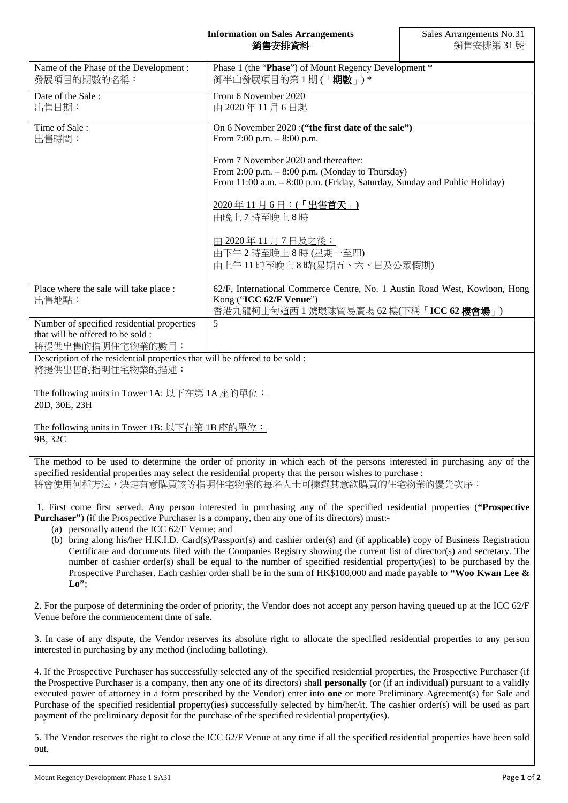## **Information on Sales Arrangements** 銷售安排資料

| Name of the Phase of the Development:<br>發展項目的期數的名稱:                                               | Phase 1 (the "Phase") of Mount Regency Development *<br>御半山發展項目的第1期(「期數」)*                                                                                                                                                                                                                                                                                                                                                                                                                                                                                                                                                                                                                                                                |  |
|----------------------------------------------------------------------------------------------------|-------------------------------------------------------------------------------------------------------------------------------------------------------------------------------------------------------------------------------------------------------------------------------------------------------------------------------------------------------------------------------------------------------------------------------------------------------------------------------------------------------------------------------------------------------------------------------------------------------------------------------------------------------------------------------------------------------------------------------------------|--|
| Date of the Sale:<br>出售日期:                                                                         | From 6 November 2020<br>由 2020年11月6日起                                                                                                                                                                                                                                                                                                                                                                                                                                                                                                                                                                                                                                                                                                     |  |
| Time of Sale:<br>出售時間:                                                                             | On 6 November 2020 : ("the first date of the sale")<br>From 7:00 p.m. $-8:00$ p.m.                                                                                                                                                                                                                                                                                                                                                                                                                                                                                                                                                                                                                                                        |  |
|                                                                                                    | From 7 November 2020 and thereafter:<br>From $2:00$ p.m. $-8:00$ p.m. (Monday to Thursday)<br>From 11:00 a.m. - 8:00 p.m. (Friday, Saturday, Sunday and Public Holiday)                                                                                                                                                                                                                                                                                                                                                                                                                                                                                                                                                                   |  |
|                                                                                                    | 2020年11月6日:(「出售首天」)<br>由晚上7時至晚上8時                                                                                                                                                                                                                                                                                                                                                                                                                                                                                                                                                                                                                                                                                                         |  |
|                                                                                                    | <u>由 2020年11月7日及之後:</u><br>由下午2時至晚上8時(星期一至四)<br>由上午11時至晚上8時(星期五、六、日及公眾假期)                                                                                                                                                                                                                                                                                                                                                                                                                                                                                                                                                                                                                                                                 |  |
| Place where the sale will take place :<br>出售地點:                                                    | 62/F, International Commerce Centre, No. 1 Austin Road West, Kowloon, Hong<br>Kong ("ICC 62/F Venue")<br>香港九龍柯士甸道西1號環球貿易廣場 62 樓(下稱「ICC 62 樓會場」)                                                                                                                                                                                                                                                                                                                                                                                                                                                                                                                                                                                           |  |
| Number of specified residential properties<br>that will be offered to be sold:<br>將提供出售的指明住宅物業的數目: | 5                                                                                                                                                                                                                                                                                                                                                                                                                                                                                                                                                                                                                                                                                                                                         |  |
| Description of the residential properties that will be offered to be sold :<br>將提供出售的指明住宅物業的描述:    |                                                                                                                                                                                                                                                                                                                                                                                                                                                                                                                                                                                                                                                                                                                                           |  |
| The following units in Tower 1A: 以下在第 1A 座的單位:<br>20D, 30E, 23H                                    |                                                                                                                                                                                                                                                                                                                                                                                                                                                                                                                                                                                                                                                                                                                                           |  |
| The following units in Tower 1B: 以下在第 1B 座的單位:<br>9B, 32C                                          |                                                                                                                                                                                                                                                                                                                                                                                                                                                                                                                                                                                                                                                                                                                                           |  |
|                                                                                                    | The method to be used to determine the order of priority in which each of the persons interested in purchasing any of the<br>specified residential properties may select the residential property that the person wishes to purchase :<br>將會使用何種方法,決定有意購買該等指明住宅物業的每名人士可揀選其意欲購買的住宅物業的優先次序:                                                                                                                                                                                                                                                                                                                                                                                                                                                 |  |
| (a) personally attend the ICC 62/F Venue; and                                                      | 1. First come first served. Any person interested in purchasing any of the specified residential properties ("Prospective<br><b>Purchaser</b> ") (if the Prospective Purchaser is a company, then any one of its directors) must:-<br>(b) bring along his/her H.K.I.D. Card(s)/Passport(s) and cashier order(s) and (if applicable) copy of Business Registration<br>Certificate and documents filed with the Companies Registry showing the current list of director(s) and secretary. The<br>number of cashier order(s) shall be equal to the number of specified residential property(ies) to be purchased by the<br>Prospective Purchaser. Each cashier order shall be in the sum of $HK$100,000$ and made payable to "Woo Kwan Lee & |  |
| $\mathbf{L}\mathbf{o}$ ";<br>Venue before the commencement time of sale.                           | 2. For the purpose of determining the order of priority, the Vendor does not accept any person having queued up at the ICC 62/F                                                                                                                                                                                                                                                                                                                                                                                                                                                                                                                                                                                                           |  |
| interested in purchasing by any method (including balloting).                                      | 3. In case of any dispute, the Vendor reserves its absolute right to allocate the specified residential properties to any person                                                                                                                                                                                                                                                                                                                                                                                                                                                                                                                                                                                                          |  |
|                                                                                                    | 4. If the Prospective Purchaser has successfully selected any of the specified residential properties, the Prospective Purchaser (if<br>the Prospective Purchaser is a company, then any one of its directors) shall <b>personally</b> (or (if an individual) pursuant to a validly<br>executed power of attorney in a form prescribed by the Vendor) enter into one or more Preliminary Agreement(s) for Sale and<br>Purchase of the specified residential property(ies) successfully selected by him/her/it. The cashier order(s) will be used as part                                                                                                                                                                                  |  |

5. The Vendor reserves the right to close the ICC 62/F Venue at any time if all the specified residential properties have been sold out.

payment of the preliminary deposit for the purchase of the specified residential property(ies).